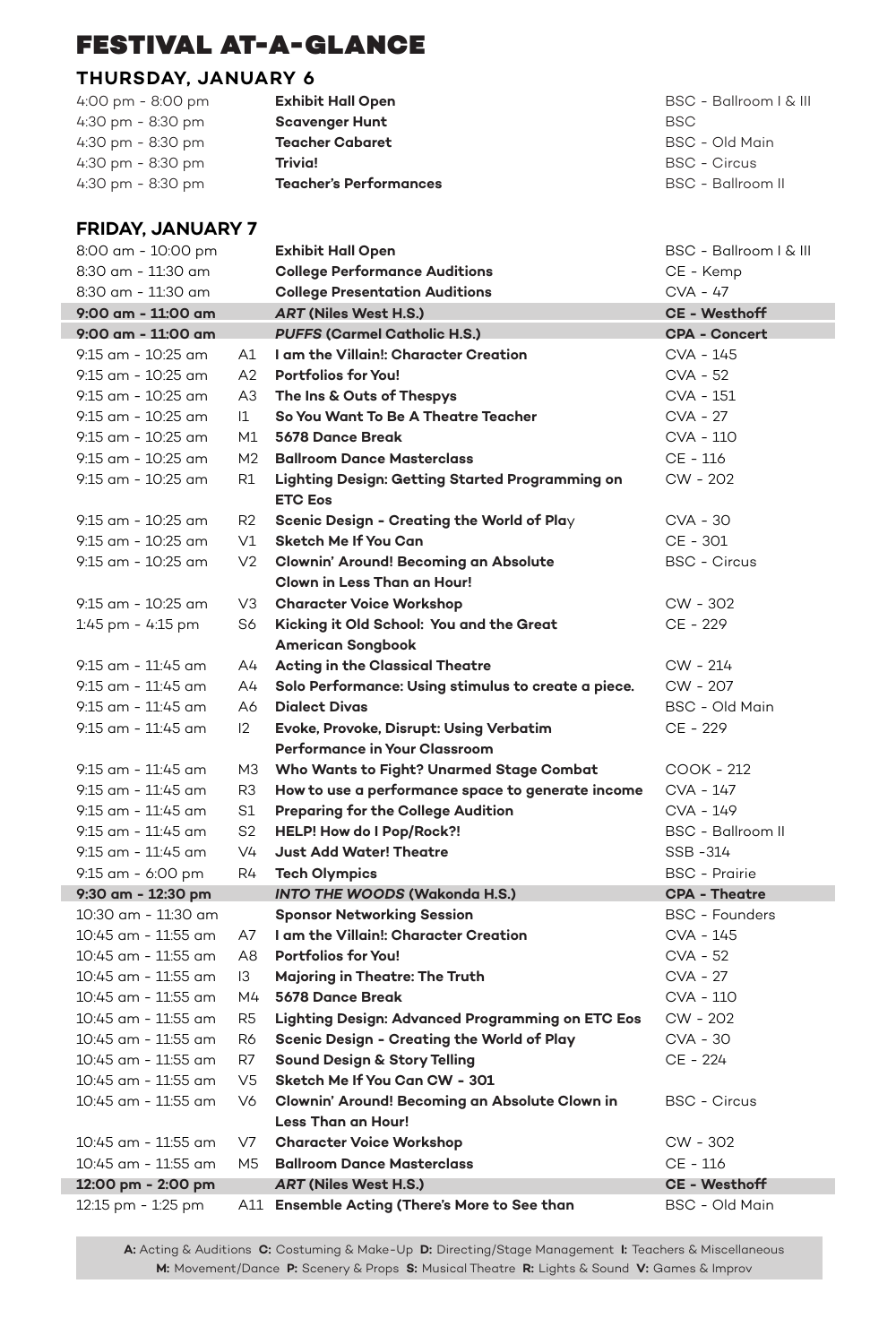#### **THURSDAY, JANUARY 6**

| 4:00 pm - 8:00 pm | <b>Exhibit Hall Open</b>      | BSC - Ballroom   &  |
|-------------------|-------------------------------|---------------------|
| 4:30 pm - 8:30 pm | <b>Scavenger Hunt</b>         | <b>BSC</b>          |
| 4:30 pm - 8:30 pm | <b>Teacher Cabaret</b>        | BSC - Old Main      |
| 4:30 pm - 8:30 pm | Trivia!                       | <b>BSC - Circus</b> |
| 4:30 pm - 8:30 pm | <b>Teacher's Performances</b> | BSC - Ballroom II   |

#### **FRIDAY, JANUARY 7**

| 8:00 am - 10:00 pm                       |                                  | <b>Exhibit Hall Open</b>                                    | BSC - Ballroom   & III              |
|------------------------------------------|----------------------------------|-------------------------------------------------------------|-------------------------------------|
| 8:30 am - 11:30 am                       |                                  | <b>College Performance Auditions</b>                        | CE - Kemp                           |
| 8:30 am - 11:30 am                       |                                  | <b>College Presentation Auditions</b>                       | CVA - 47                            |
| 9:00 am - 11:00 am                       |                                  | <b>ART (Niles West H.S.)</b>                                | <b>CE - Westhoff</b>                |
| 9:00 am - 11:00 am                       |                                  | <b>PUFFS (Carmel Catholic H.S.)</b>                         | <b>CPA - Concert</b>                |
| 9:15 am - 10:25 am                       | A1                               | I am the Villain!: Character Creation                       | CVA - 145                           |
| 9:15 am - 10:25 am                       | A2                               | <b>Portfolios for You!</b>                                  | CVA - 52                            |
| $9:15$ am - $10:25$ am                   | A3                               | The Ins & Outs of Thespys                                   | CVA - 151                           |
| 9:15 am - 10:25 am                       | $ 1\rangle$                      | So You Want To Be A Theatre Teacher                         | CVA - 27                            |
| 9:15 am - 10:25 am                       | M1                               | 5678 Dance Break                                            | CVA - 110                           |
| $9:15$ am - $10:25$ am                   | M <sub>2</sub>                   | <b>Ballroom Dance Masterclass</b>                           | CE - 116                            |
| 9:15 am - 10:25 am                       | R1                               | Lighting Design: Getting Started Programming on             | CW - 202                            |
|                                          |                                  | <b>ETC Eos</b>                                              |                                     |
| 9:15 am - 10:25 am                       | R2                               | Scenic Design - Creating the World of Play                  | CVA - 30                            |
| 9:15 am - 10:25 am                       | V1                               | Sketch Me If You Can                                        | CE - 301                            |
| 9:15 am - 10:25 am                       | V <sub>2</sub>                   | Clownin' Around! Becoming an Absolute                       | <b>BSC - Circus</b>                 |
|                                          |                                  | Clown in Less Than an Hour!                                 |                                     |
| 9:15 am - 10:25 am                       | V3                               | <b>Character Voice Workshop</b>                             | CW - 302                            |
| $1:45$ pm - $4:15$ pm                    | S6                               | Kicking it Old School: You and the Great                    | CE - 229                            |
|                                          |                                  | <b>American Songbook</b>                                    |                                     |
| $9:15$ am - $11:45$ am                   | A4                               | Acting in the Classical Theatre                             | CW - 214                            |
| 9:15 am - 11:45 am                       | A4                               | Solo Performance: Using stimulus to create a piece.         | CW - 207                            |
| 9:15 am - 11:45 am                       | A6                               | <b>Dialect Divas</b>                                        | BSC - Old Main                      |
| 9:15 am - 11:45 am                       | $ 2\rangle$                      | Evoke, Provoke, Disrupt: Using Verbatim                     | CE - 229                            |
|                                          |                                  | Performance in Your Classroom                               |                                     |
| $9:15$ am - $11:45$ am                   | M3                               | Who Wants to Fight? Unarmed Stage Combat                    | COOK - 212                          |
| 9:15 am - 11:45 am                       | R3                               | How to use a performance space to generate income           | CVA - 147                           |
| 9:15 am - 11:45 am                       | S1                               | <b>Preparing for the College Audition</b>                   | CVA - 149                           |
| 9:15 am - 11:45 am<br>9:15 am - 11:45 am | S <sub>2</sub><br>V <sub>4</sub> | HELP! How do I Pop/Rock?!<br><b>Just Add Water! Theatre</b> | <b>BSC - Ballroom II</b><br>SSB-314 |
| 9:15 am - 6:00 pm                        | R4                               | <b>Tech Olympics</b>                                        | <b>BSC</b> - Prairie                |
| 9:30 am - 12:30 pm                       |                                  | <b>INTO THE WOODS (Wakonda H.S.)</b>                        | <b>CPA - Theatre</b>                |
| 10:30 am - 11:30 am                      |                                  | <b>Sponsor Networking Session</b>                           | <b>BSC - Founders</b>               |
| 10:45 am - 11:55 am                      | A7                               | I am the Villain!: Character Creation                       | CVA - 145                           |
| 10:45 am - 11:55 am                      | A <sub>8</sub>                   | <b>Portfolios for You!</b>                                  | CVA - 52                            |
| 10:45 am - 11:55 am                      | $\mathsf{I}3$                    | Majoring in Theatre: The Truth                              | CVA - 27                            |
| 10:45 am - 11:55 am                      | M4                               | 5678 Dance Break                                            | CVA - 110                           |
| 10:45 am - 11:55 am                      | R5                               | Lighting Design: Advanced Programming on ETC Eos            | CW - 202                            |
| 10:45 am - 11:55 am                      | R6                               | Scenic Design - Creating the World of Play                  | CVA - 30                            |
| 10:45 am - 11:55 am                      | R7                               | Sound Design & Story Telling                                | CE - 224                            |
| 10:45 am - 11:55 am                      | V <sub>5</sub>                   | Sketch Me If You Can CW - 301                               |                                     |
| 10:45 am - 11:55 am                      | V6                               | Clownin' Around! Becoming an Absolute Clown in              | <b>BSC - Circus</b>                 |
|                                          |                                  | <b>Less Than an Hour!</b>                                   |                                     |
| 10:45 am - 11:55 am                      | V7                               | <b>Character Voice Workshop</b>                             | CW - 302                            |
| 10:45 am - 11:55 am                      | M5                               | <b>Ballroom Dance Masterclass</b>                           | CE - 116                            |
| 12:00 pm - 2:00 pm                       |                                  | <b>ART (Niles West H.S.)</b>                                | <b>CE - Westhoff</b>                |
| 12:15 pm - 1:25 pm                       |                                  | A11 Ensemble Acting (There's More to See than               | BSC - Old Main                      |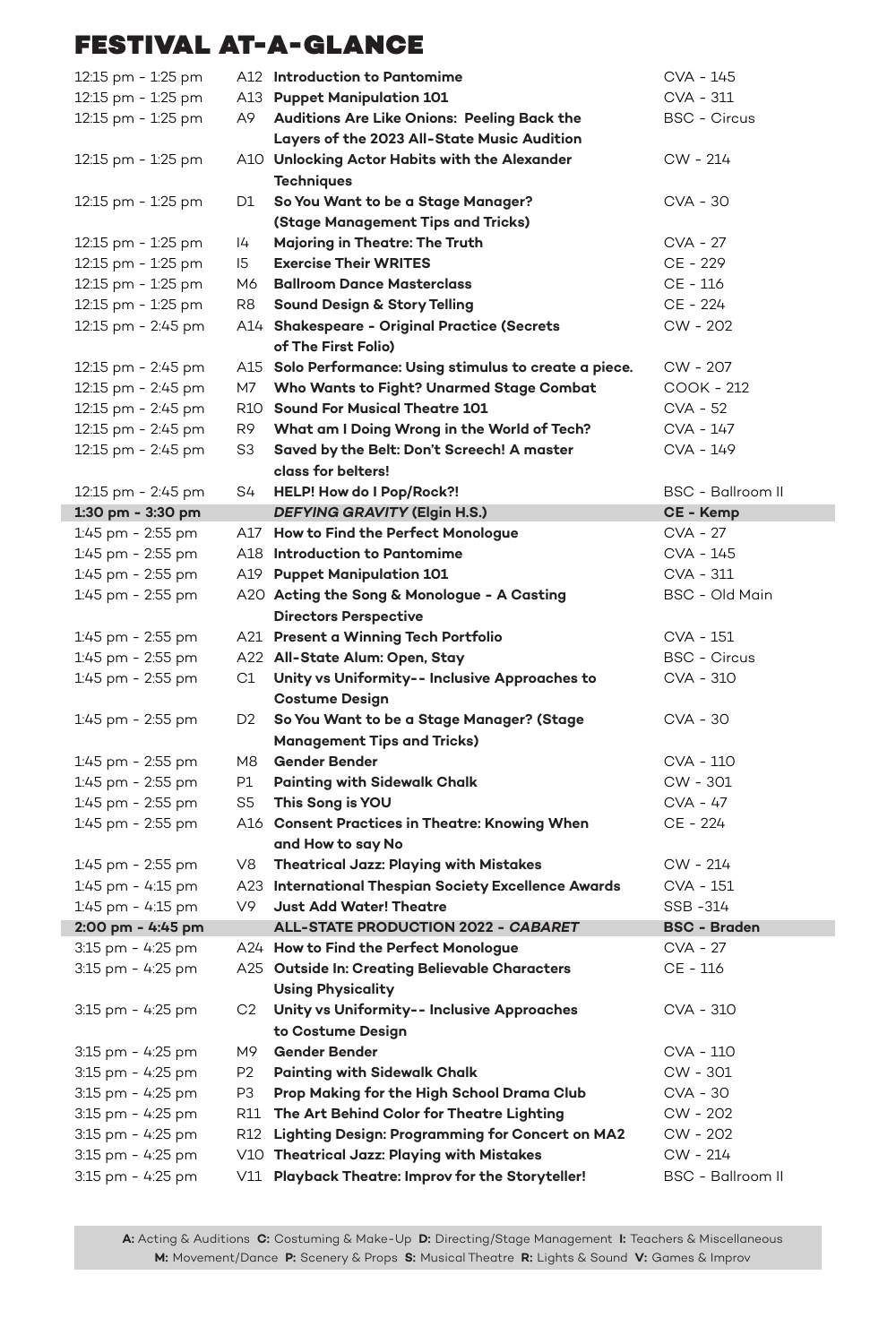| 12:15 pm - 1:25 pm |                | A12 Introduction to Pantomime                           | CVA - 145           |
|--------------------|----------------|---------------------------------------------------------|---------------------|
| 12:15 pm - 1:25 pm |                | A13 Puppet Manipulation 101                             | CVA - 311           |
| 12:15 pm - 1:25 pm | А9             | Auditions Are Like Onions: Peeling Back the             | <b>BSC - Circus</b> |
|                    |                | Layers of the 2023 All-State Music Audition             |                     |
| 12:15 pm - 1:25 pm |                | A10 Unlocking Actor Habits with the Alexander           | CW - 214            |
|                    |                | <b>Techniques</b>                                       |                     |
| 12:15 pm - 1:25 pm | D1             | So You Want to be a Stage Manager?                      | CVA - 30            |
|                    |                | (Stage Management Tips and Tricks)                      |                     |
| 12:15 pm - 1:25 pm | 4              | Majoring in Theatre: The Truth                          | CVA - 27            |
| 12:15 pm - 1:25 pm | 15             | <b>Exercise Their WRITES</b>                            | CE - 229            |
| 12:15 pm - 1:25 pm | M6.            | <b>Ballroom Dance Masterclass</b>                       | CE - 116            |
| 12:15 pm - 1:25 pm | R8             | Sound Design & Story Telling                            | CE - 224            |
| 12:15 pm - 2:45 pm |                | A14 Shakespeare - Original Practice (Secrets            | CW - 202            |
|                    |                | of The First Folio)                                     |                     |
|                    |                |                                                         |                     |
| 12:15 pm - 2:45 pm |                | A15 Solo Performance: Using stimulus to create a piece. | CW - 207            |
| 12:15 pm - 2:45 pm | M7             | Who Wants to Fight? Unarmed Stage Combat                | COOK - 212          |
| 12:15 pm - 2:45 pm |                | R10 Sound For Musical Theatre 101                       | CVA - 52            |
| 12:15 pm - 2:45 pm | R9             | What am I Doing Wrong in the World of Tech?             | CVA - 147           |
| 12:15 pm - 2:45 pm | S3             | Saved by the Belt: Don't Screech! A master              | CVA - 149           |
|                    |                | class for belters!                                      |                     |
| 12:15 pm - 2:45 pm | S4             | HELP! How do I Pop/Rock?!                               | BSC - Ballroom II   |
| 1:30 pm - 3:30 pm  |                | DEFYING GRAVITY (Elgin H.S.)                            | CE - Kemp           |
| 1:45 pm - 2:55 pm  |                | A17 How to Find the Perfect Monologue                   | CVA - 27            |
| 1:45 pm - 2:55 pm  |                | A18 Introduction to Pantomime                           | CVA - 145           |
| 1:45 pm - 2:55 pm  |                | A19 Puppet Manipulation 101                             | CVA - 311           |
| 1:45 pm - 2:55 pm  |                | A20 Acting the Song & Monologue - A Casting             | BSC - Old Main      |
|                    |                | <b>Directors Perspective</b>                            |                     |
| 1:45 pm - 2:55 pm  |                | A21 Present a Winning Tech Portfolio                    | CVA - 151           |
| 1:45 pm - 2:55 pm  |                | A22 All-State Alum: Open, Stay                          | <b>BSC - Circus</b> |
| 1:45 pm - 2:55 pm  | C1             | Unity vs Uniformity-- Inclusive Approaches to           | CVA - 310           |
|                    |                | <b>Costume Design</b>                                   |                     |
| 1:45 pm - 2:55 pm  | D2             | So You Want to be a Stage Manager? (Stage               | CVA - 30            |
|                    |                | <b>Management Tips and Tricks)</b>                      |                     |
| 1:45 pm - 2:55 pm  |                | M8 Gender Bender                                        | CVA - 110           |
| 1:45 pm - 2:55 pm  | P1             | <b>Painting with Sidewalk Chalk</b>                     | CW - 301            |
| 1:45 pm - 2:55 pm  | S5             | This Song is YOU                                        | CVA - 47            |
| 1:45 pm - 2:55 pm  |                | A16 Consent Practices in Theatre: Knowing When          | CE - 224            |
|                    |                | and How to say No                                       |                     |
| 1:45 pm - 2:55 pm  |                | V8 Theatrical Jazz: Playing with Mistakes               | CW - 214            |
| 1:45 pm - 4:15 pm  |                | A23 International Thespian Society Excellence Awards    | CVA - 151           |
| 1:45 pm - 4:15 pm  | V9             | <b>Just Add Water! Theatre</b>                          | SSB -314            |
| 2:00 pm - 4:45 pm  |                | ALL-STATE PRODUCTION 2022 - CABARET                     | <b>BSC - Braden</b> |
| 3:15 pm - 4:25 pm  |                | A24 How to Find the Perfect Monologue                   | CVA - 27            |
| 3:15 pm - 4:25 pm  |                | A25 Outside In: Creating Believable Characters          | CE - 116            |
|                    |                | <b>Using Physicality</b>                                |                     |
|                    |                | Unity vs Uniformity -- Inclusive Approaches             |                     |
| 3:15 pm - 4:25 pm  | C <sub>2</sub> |                                                         | CVA - 310           |
|                    |                | to Costume Design                                       |                     |
| 3:15 pm - 4:25 pm  | M9             | Gender Bender                                           | CVA - 110           |
| 3:15 pm - 4:25 pm  | P <sub>2</sub> | Painting with Sidewalk Chalk                            | CW - 301            |
| 3:15 pm - 4:25 pm  | P <sub>3</sub> | Prop Making for the High School Drama Club              | CVA - 30            |
| 3:15 pm - 4:25 pm  |                | R11 The Art Behind Color for Theatre Lighting           | CW - 202            |
| 3:15 pm - 4:25 pm  | R12            | Lighting Design: Programming for Concert on MA2         | CW - 202            |
| 3:15 pm - 4:25 pm  |                | V10 Theatrical Jazz: Playing with Mistakes              | CW - 214            |
| 3:15 pm - 4:25 pm  | V11            | Playback Theatre: Improv for the Storyteller!           | BSC - Ballroom II   |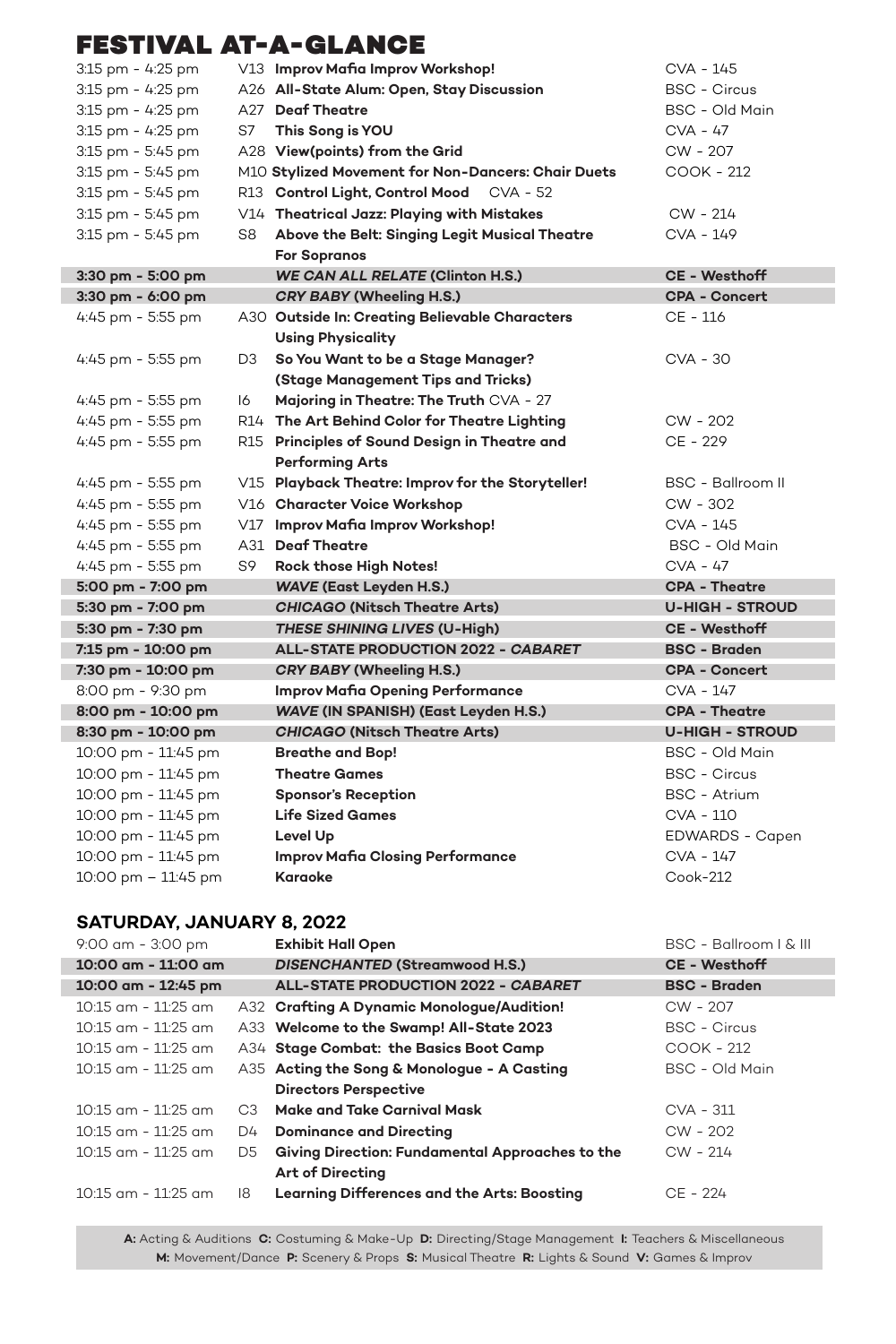| 3:15 pm - 4:25 pm     |    | V13 Improv Mafia Improv Workshop!                  | CVA - 145                |
|-----------------------|----|----------------------------------------------------|--------------------------|
| 3:15 pm - 4:25 pm     |    | A26 All-State Alum: Open, Stay Discussion          | <b>BSC - Circus</b>      |
| 3:15 pm - 4:25 pm     |    | A27 Deaf Theatre                                   | BSC - Old Main           |
| 3:15 pm - 4:25 pm     | S7 | This Song is YOU                                   | CVA - 47                 |
| 3:15 pm - 5:45 pm     |    | A28 View(points) from the Grid                     | CW - 207                 |
| 3:15 pm - 5:45 pm     |    | M10 Stylized Movement for Non-Dancers: Chair Duets | COOK - 212               |
| $3:15$ pm - $5:45$ pm |    | R13 Control Light, Control Mood CVA - 52           |                          |
| 3:15 pm - 5:45 pm     |    | V14 Theatrical Jazz: Playing with Mistakes         | CW - 214                 |
| 3:15 pm - 5:45 pm     | S8 | Above the Belt: Singing Legit Musical Theatre      | CVA - 149                |
|                       |    | <b>For Sopranos</b>                                |                          |
| 3:30 pm - 5:00 pm     |    | <b>WE CAN ALL RELATE (Clinton H.S.)</b>            | <b>CE - Westhoff</b>     |
| 3:30 pm - 6:00 pm     |    | <b>CRY BABY (Wheeling H.S.)</b>                    | <b>CPA - Concert</b>     |
| 4:45 pm - 5:55 pm     |    | A30 Outside In: Creating Believable Characters     | CE - 116                 |
|                       |    | <b>Using Physicality</b>                           |                          |
| 4:45 pm - 5:55 pm     | D3 | So You Want to be a Stage Manager?                 | CVA - 30                 |
|                       |    | (Stage Management Tips and Tricks)                 |                          |
| 4:45 pm - 5:55 pm     | 16 | Majoring in Theatre: The Truth CVA - 27            |                          |
| 4:45 pm - 5:55 pm     |    | R14 The Art Behind Color for Theatre Lighting      | CW - 202                 |
| 4:45 pm - 5:55 pm     |    | R15 Principles of Sound Design in Theatre and      | CE - 229                 |
|                       |    | <b>Performing Arts</b>                             |                          |
| 4:45 pm - 5:55 pm     |    | V15 Playback Theatre: Improv for the Storyteller!  | <b>BSC - Ballroom II</b> |
| 4:45 pm - 5:55 pm     |    | V16 Character Voice Workshop                       | CW - 302                 |
| 4:45 pm - 5:55 pm     |    | V17 Improv Mafia Improv Workshop!                  | CVA - 145                |
| 4:45 pm - 5:55 pm     |    | A31 Deaf Theatre                                   | BSC - Old Main           |
| 4:45 pm - 5:55 pm     | S9 | Rock those High Notes!                             | CVA - 47                 |
| 5:00 pm - 7:00 pm     |    | <b>WAVE (East Leyden H.S.)</b>                     | <b>CPA - Theatre</b>     |
| 5:30 pm - 7:00 pm     |    | <b>CHICAGO (Nitsch Theatre Arts)</b>               | <b>U-HIGH - STROUD</b>   |
| 5:30 pm - 7:30 pm     |    | THESE SHINING LIVES (U-High)                       | <b>CE - Westhoff</b>     |
| 7:15 pm - 10:00 pm    |    | ALL-STATE PRODUCTION 2022 - CABARET                | <b>BSC - Braden</b>      |
| 7:30 pm - 10:00 pm    |    | <b>CRY BABY (Wheeling H.S.)</b>                    | <b>CPA - Concert</b>     |
| 8:00 pm - 9:30 pm     |    | Improv Mafia Opening Performance                   | CVA - 147                |
| 8:00 pm - 10:00 pm    |    | WAVE (IN SPANISH) (East Leyden H.S.)               | <b>CPA - Theatre</b>     |
| 8:30 pm - 10:00 pm    |    | <b>CHICAGO (Nitsch Theatre Arts)</b>               | <b>U-HIGH - STROUD</b>   |
| 10:00 pm - 11:45 pm   |    | <b>Breathe and Bop!</b>                            | BSC - Old Main           |
| 10:00 pm - 11:45 pm   |    | <b>Theatre Games</b>                               | <b>BSC - Circus</b>      |
| 10:00 pm - 11:45 pm   |    | <b>Sponsor's Reception</b>                         | <b>BSC - Atrium</b>      |
| 10:00 pm - 11:45 pm   |    | <b>Life Sized Games</b>                            | CVA - 110                |
| 10:00 pm - 11:45 pm   |    | Level Up                                           | EDWARDS - Capen          |
| 10:00 pm - 11:45 pm   |    | <b>Improv Mafia Closing Performance</b>            | CVA - 147                |
| 10:00 pm - 11:45 pm   |    | Karaoke                                            | Cook-212                 |
|                       |    |                                                    |                          |

#### **SATURDAY, JANUARY 8, 2022**

| 9:00 am - 3:00 pm       |                | <b>Exhibit Hall Open</b>                        | BSC - Ballroom   & III |
|-------------------------|----------------|-------------------------------------------------|------------------------|
| 10:00 am - 11:00 am     |                | DISENCHANTED (Streamwood H.S.)                  | <b>CE - Westhoff</b>   |
| 10:00 am - 12:45 pm     |                | <b>ALL-STATE PRODUCTION 2022 - CABARET</b>      | <b>BSC - Braden</b>    |
| $10:15$ am - $11:25$ am |                | A32 Crafting A Dynamic Monologue/Audition!      | CW - 207               |
| $10:15$ am - $11:25$ am |                | A33 Welcome to the Swamp! All-State 2023        | <b>BSC - Circus</b>    |
| $10:15$ am - $11:25$ am |                | A34 Stage Combat: the Basics Boot Camp          | COOK - 212             |
| $10:15$ am - $11:25$ am |                | A35 Acting the Song & Monologue - A Casting     | BSC - Old Main         |
|                         |                | <b>Directors Perspective</b>                    |                        |
| $10:15$ am - $11:25$ am | C <sub>3</sub> | Make and Take Carnival Mask                     | CVA - 311              |
| $10:15$ am - $11:25$ am | D4             | <b>Dominance and Directing</b>                  | $CW - 202$             |
| $10:15$ am - $11:25$ am | D5.            | Giving Direction: Fundamental Approaches to the | $CW - 214$             |
|                         |                | <b>Art of Directing</b>                         |                        |
| $10:15$ am - $11:25$ am | 18             | Learning Differences and the Arts: Boosting     | CE - 224               |
|                         |                |                                                 |                        |